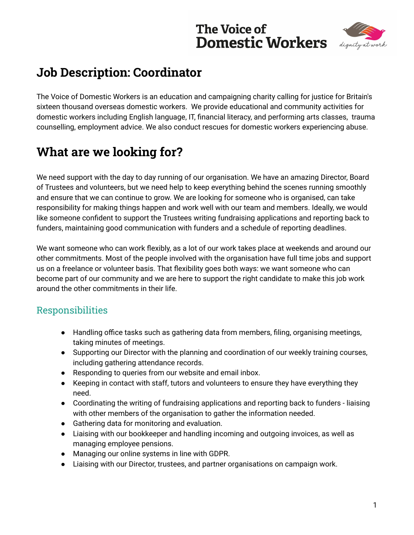# **The Voice of Domestic Workers**



# **Job Description: Coordinator**

The Voice of Domestic Workers is an education and campaigning charity calling for justice for Britain's sixteen thousand overseas domestic workers. We provide educational and community activities for domestic workers including English language, IT, financial literacy, and performing arts classes, trauma counselling, employment advice. We also conduct rescues for domestic workers experiencing abuse.

# **What are we looking for?**

We need support with the day to day running of our organisation. We have an amazing Director, Board of Trustees and volunteers, but we need help to keep everything behind the scenes running smoothly and ensure that we can continue to grow. We are looking for someone who is organised, can take responsibility for making things happen and work well with our team and members. Ideally, we would like someone confident to support the Trustees writing fundraising applications and reporting back to funders, maintaining good communication with funders and a schedule of reporting deadlines.

We want someone who can work flexibly, as a lot of our work takes place at weekends and around our other commitments. Most of the people involved with the organisation have full time jobs and support us on a freelance or volunteer basis. That flexibility goes both ways: we want someone who can become part of our community and we are here to support the right candidate to make this job work around the other commitments in their life.

#### Responsibilities

- Handling office tasks such as gathering data from members, filing, organising meetings, taking minutes of meetings.
- Supporting our Director with the planning and coordination of our weekly training courses, including gathering attendance records.
- Responding to queries from our website and email inbox.
- Keeping in contact with staff, tutors and volunteers to ensure they have everything they need.
- Coordinating the writing of fundraising applications and reporting back to funders liaising with other members of the organisation to gather the information needed.
- Gathering data for monitoring and evaluation.
- Liaising with our bookkeeper and handling incoming and outgoing invoices, as well as managing employee pensions.
- Managing our online systems in line with GDPR.
- Liaising with our Director, trustees, and partner organisations on campaign work.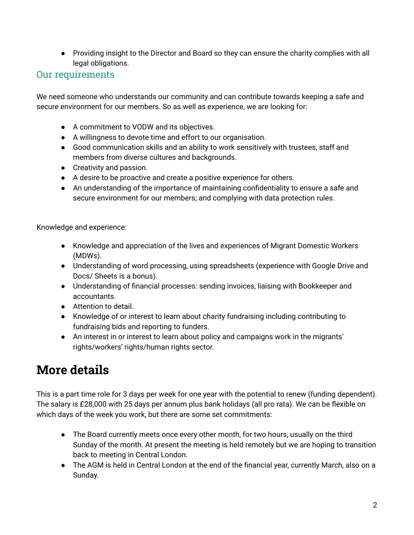● Providing insight to the Director and Board so they can ensure the charity complies with all legal obligations.

#### Our requirements

We need someone who understands our community and can contribute towards keeping a safe and secure environment for our members. So as well as experience, we are looking for:

- A commitment to VODW and its objectives.
- A willingness to devote time and effort to our organisation.
- Good communication skills and an ability to work sensitively with trustees, staff and members from diverse cultures and backgrounds.
- Creativity and passion.
- A desire to be proactive and create a positive experience for others.
- An understanding of the importance of maintaining confidentiality to ensure a safe and secure environment for our members; and complying with data protection rules.

Knowledge and experience:

- Knowledge and appreciation of the lives and experiences of Migrant Domestic Workers (MDWs).
- Understanding of word processing, using spreadsheets (experience with Google Drive and Docs/ Sheets is a bonus).
- Understanding of financial processes: sending invoices, liaising with Bookkeeper and accountants.
- Attention to detail.
- Knowledge of or interest to learn about charity fundraising including contributing to fundraising bids and reporting to funders.
- An interest in or interest to learn about policy and campaigns work in the migrants' rights/workers' rights/human rights sector.

### **More details**

This is a part time role for 3 days per week for one year with the potential to renew (funding dependent). The salary is £28,000 with 25 days per annum plus bank holidays (all pro rata). We can be flexible on which days of the week you work, but there are some set commitments:

- The Board currently meets once every other month, for two hours, usually on the third Sunday of the month. At present the meeting is held remotely but we are hoping to transition back to meeting in Central London.
- The AGM is held in Central London at the end of the financial year, currently March, also on a Sunday.